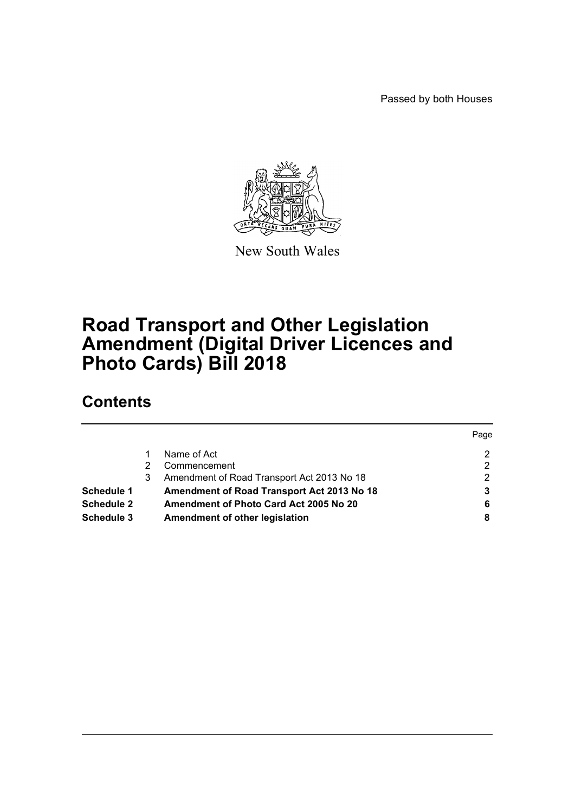Passed by both Houses



New South Wales

# **Road Transport and Other Legislation Amendment (Digital Driver Licences and Photo Cards) Bill 2018**

# **Contents**

|                   |   |                                            | Page |
|-------------------|---|--------------------------------------------|------|
|                   |   | Name of Act                                | າ    |
|                   | 2 | Commencement                               | 2    |
|                   | 3 | Amendment of Road Transport Act 2013 No 18 | າ    |
| Schedule 1        |   | Amendment of Road Transport Act 2013 No 18 |      |
| <b>Schedule 2</b> |   | Amendment of Photo Card Act 2005 No 20     | 6    |
| <b>Schedule 3</b> |   | Amendment of other legislation             | 8    |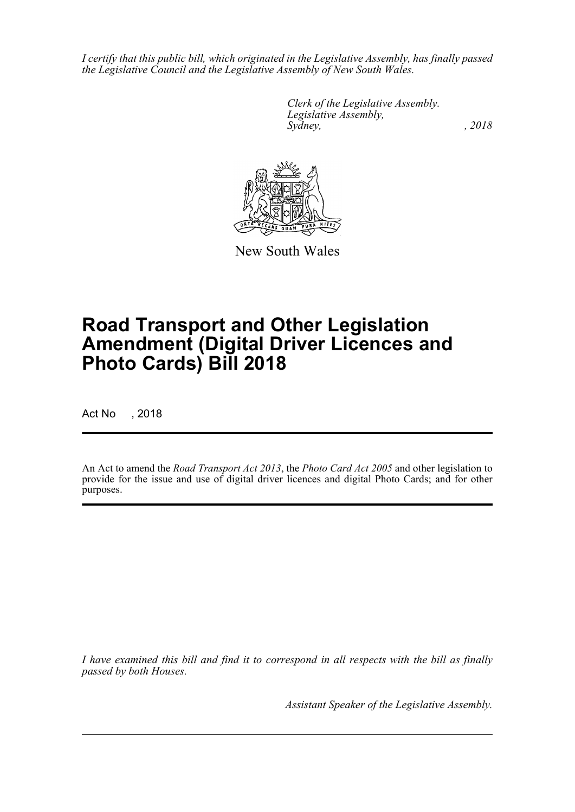*I certify that this public bill, which originated in the Legislative Assembly, has finally passed the Legislative Council and the Legislative Assembly of New South Wales.*

> *Clerk of the Legislative Assembly. Legislative Assembly, Sydney, , 2018*



New South Wales

# **Road Transport and Other Legislation Amendment (Digital Driver Licences and Photo Cards) Bill 2018**

Act No , 2018

An Act to amend the *Road Transport Act 2013*, the *Photo Card Act 2005* and other legislation to provide for the issue and use of digital driver licences and digital Photo Cards; and for other purposes.

*I have examined this bill and find it to correspond in all respects with the bill as finally passed by both Houses.*

*Assistant Speaker of the Legislative Assembly.*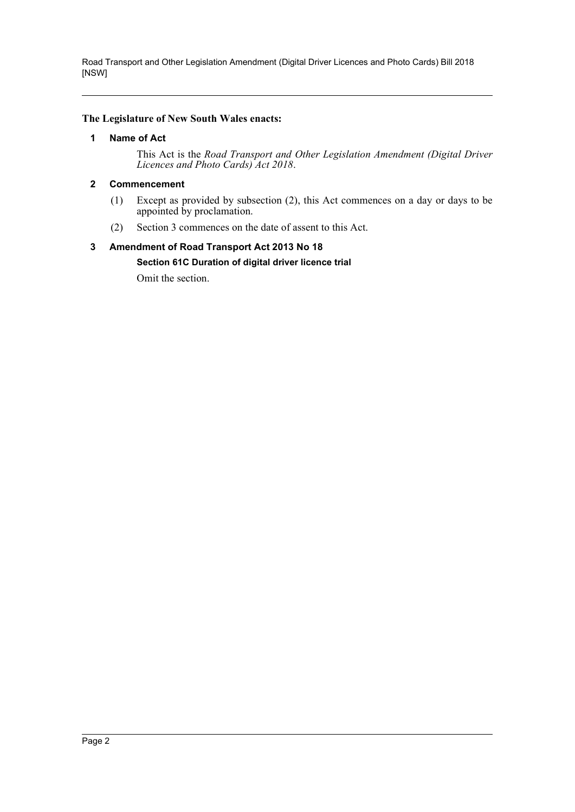#### <span id="page-2-0"></span>**The Legislature of New South Wales enacts:**

#### **1 Name of Act**

This Act is the *Road Transport and Other Legislation Amendment (Digital Driver Licences and Photo Cards) Act 2018*.

#### <span id="page-2-1"></span>**2 Commencement**

- (1) Except as provided by subsection (2), this Act commences on a day or days to be appointed by proclamation.
- (2) Section 3 commences on the date of assent to this Act.

# <span id="page-2-2"></span>**3 Amendment of Road Transport Act 2013 No 18 Section 61C Duration of digital driver licence trial**

Omit the section.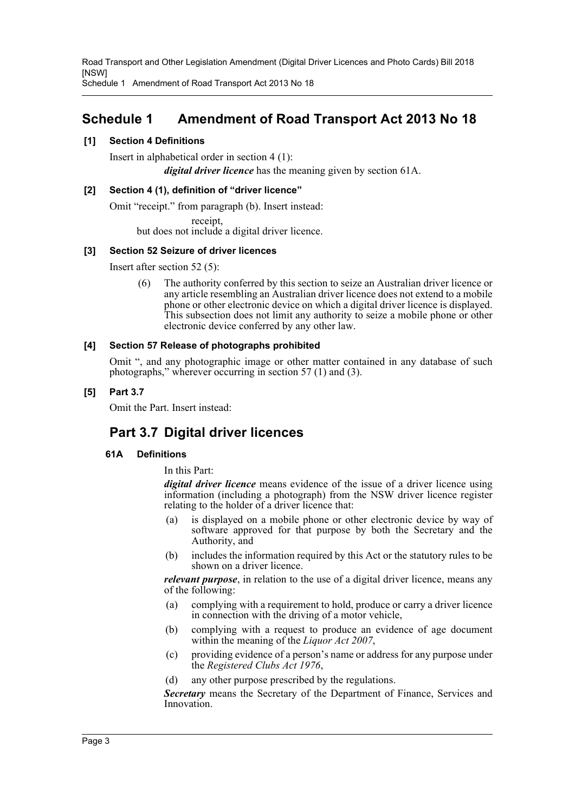Schedule 1 Amendment of Road Transport Act 2013 No 18

# <span id="page-3-0"></span>**Schedule 1 Amendment of Road Transport Act 2013 No 18**

#### **[1] Section 4 Definitions**

Insert in alphabetical order in section 4 (1): *digital driver licence* has the meaning given by section 61A.

#### **[2] Section 4 (1), definition of "driver licence"**

Omit "receipt." from paragraph (b). Insert instead: receipt,

but does not include a digital driver licence.

#### **[3] Section 52 Seizure of driver licences**

Insert after section 52 (5):

(6) The authority conferred by this section to seize an Australian driver licence or any article resembling an Australian driver licence does not extend to a mobile phone or other electronic device on which a digital driver licence is displayed. This subsection does not limit any authority to seize a mobile phone or other electronic device conferred by any other law.

#### **[4] Section 57 Release of photographs prohibited**

Omit ", and any photographic image or other matter contained in any database of such photographs," wherever occurring in section 57 (1) and (3).

## **[5] Part 3.7**

Omit the Part. Insert instead:

# **Part 3.7 Digital driver licences**

## **61A Definitions**

In this Part:

*digital driver licence* means evidence of the issue of a driver licence using information (including a photograph) from the NSW driver licence register relating to the holder of a driver licence that:

- (a) is displayed on a mobile phone or other electronic device by way of software approved for that purpose by both the Secretary and the Authority, and
- (b) includes the information required by this Act or the statutory rules to be shown on a driver licence.

*relevant purpose*, in relation to the use of a digital driver licence, means any of the following:

- (a) complying with a requirement to hold, produce or carry a driver licence in connection with the driving of a motor vehicle,
- (b) complying with a request to produce an evidence of age document within the meaning of the *Liquor Act 2007*,
- (c) providing evidence of a person's name or address for any purpose under the *Registered Clubs Act 1976*,
- (d) any other purpose prescribed by the regulations.

**Secretary** means the Secretary of the Department of Finance, Services and Innovation.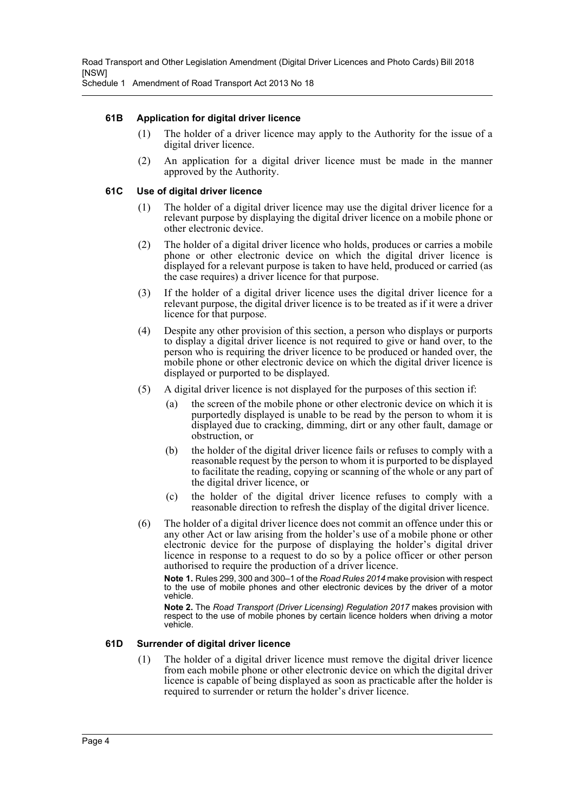Schedule 1 Amendment of Road Transport Act 2013 No 18

#### **61B Application for digital driver licence**

- (1) The holder of a driver licence may apply to the Authority for the issue of a digital driver licence.
- (2) An application for a digital driver licence must be made in the manner approved by the Authority.

#### **61C Use of digital driver licence**

- (1) The holder of a digital driver licence may use the digital driver licence for a relevant purpose by displaying the digital driver licence on a mobile phone or other electronic device.
- (2) The holder of a digital driver licence who holds, produces or carries a mobile phone or other electronic device on which the digital driver licence is displayed for a relevant purpose is taken to have held, produced or carried (as the case requires) a driver licence for that purpose.
- (3) If the holder of a digital driver licence uses the digital driver licence for a relevant purpose, the digital driver licence is to be treated as if it were a driver licence for that purpose.
- (4) Despite any other provision of this section, a person who displays or purports to display a digital driver licence is not required to give or hand over, to the person who is requiring the driver licence to be produced or handed over, the mobile phone or other electronic device on which the digital driver licence is displayed or purported to be displayed.
- (5) A digital driver licence is not displayed for the purposes of this section if:
	- (a) the screen of the mobile phone or other electronic device on which it is purportedly displayed is unable to be read by the person to whom it is displayed due to cracking, dimming, dirt or any other fault, damage or obstruction, or
	- (b) the holder of the digital driver licence fails or refuses to comply with a reasonable request by the person to whom it is purported to be displayed to facilitate the reading, copying or scanning of the whole or any part of the digital driver licence, or
	- (c) the holder of the digital driver licence refuses to comply with a reasonable direction to refresh the display of the digital driver licence.
- (6) The holder of a digital driver licence does not commit an offence under this or any other Act or law arising from the holder's use of a mobile phone or other electronic device for the purpose of displaying the holder's digital driver licence in response to a request to do so by a police officer or other person authorised to require the production of a driver licence.

**Note 1.** Rules 299, 300 and 300–1 of the *Road Rules 2014* make provision with respect to the use of mobile phones and other electronic devices by the driver of a motor vehicle.

**Note 2.** The *Road Transport (Driver Licensing) Regulation 2017* makes provision with respect to the use of mobile phones by certain licence holders when driving a motor vehicle.

#### **61D Surrender of digital driver licence**

(1) The holder of a digital driver licence must remove the digital driver licence from each mobile phone or other electronic device on which the digital driver licence is capable of being displayed as soon as practicable after the holder is required to surrender or return the holder's driver licence.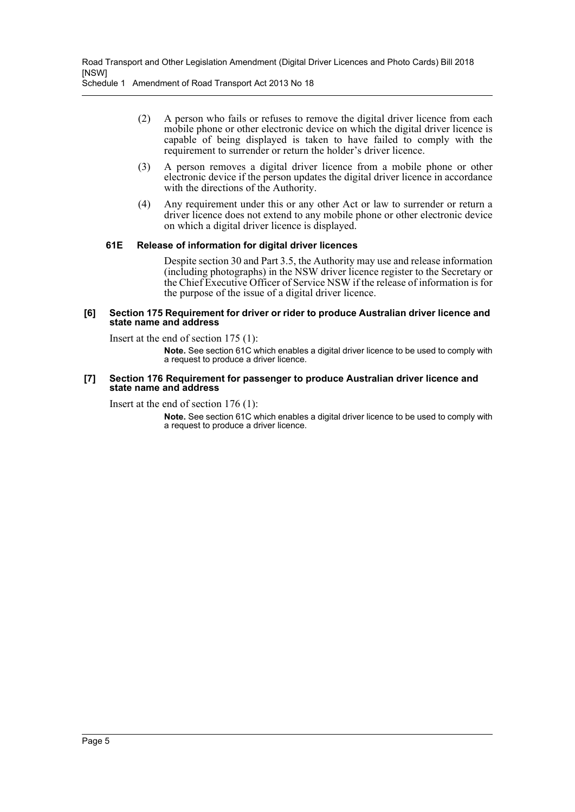Schedule 1 Amendment of Road Transport Act 2013 No 18

- (2) A person who fails or refuses to remove the digital driver licence from each mobile phone or other electronic device on which the digital driver licence is capable of being displayed is taken to have failed to comply with the requirement to surrender or return the holder's driver licence.
- (3) A person removes a digital driver licence from a mobile phone or other electronic device if the person updates the digital driver licence in accordance with the directions of the Authority.
- (4) Any requirement under this or any other Act or law to surrender or return a driver licence does not extend to any mobile phone or other electronic device on which a digital driver licence is displayed.

#### **61E Release of information for digital driver licences**

Despite section 30 and Part 3.5, the Authority may use and release information (including photographs) in the NSW driver licence register to the Secretary or the Chief Executive Officer of Service NSW if the release of information is for the purpose of the issue of a digital driver licence.

#### **[6] Section 175 Requirement for driver or rider to produce Australian driver licence and state name and address**

Insert at the end of section 175 (1):

**Note.** See section 61C which enables a digital driver licence to be used to comply with a request to produce a driver licence.

#### **[7] Section 176 Requirement for passenger to produce Australian driver licence and state name and address**

Insert at the end of section 176 (1):

**Note.** See section 61C which enables a digital driver licence to be used to comply with a request to produce a driver licence.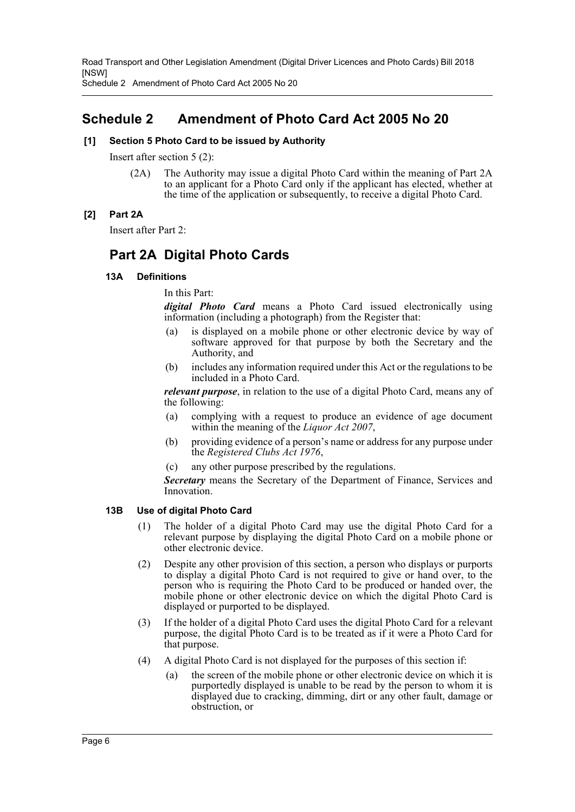Schedule 2 Amendment of Photo Card Act 2005 No 20

# <span id="page-6-0"></span>**Schedule 2 Amendment of Photo Card Act 2005 No 20**

#### **[1] Section 5 Photo Card to be issued by Authority**

Insert after section 5 (2):

(2A) The Authority may issue a digital Photo Card within the meaning of Part 2A to an applicant for a Photo Card only if the applicant has elected, whether at the time of the application or subsequently, to receive a digital Photo Card.

#### **[2] Part 2A**

Insert after Part 2:

# **Part 2A Digital Photo Cards**

#### **13A Definitions**

In this Part:

*digital Photo Card* means a Photo Card issued electronically using information (including a photograph) from the Register that:

- (a) is displayed on a mobile phone or other electronic device by way of software approved for that purpose by both the Secretary and the Authority, and
- (b) includes any information required under this Act or the regulations to be included in a Photo Card.

*relevant purpose*, in relation to the use of a digital Photo Card, means any of the following:

- (a) complying with a request to produce an evidence of age document within the meaning of the *Liquor Act 2007*,
- (b) providing evidence of a person's name or address for any purpose under the *Registered Clubs Act 1976*,
- (c) any other purpose prescribed by the regulations.

*Secretary* means the Secretary of the Department of Finance, Services and Innovation.

#### **13B Use of digital Photo Card**

- (1) The holder of a digital Photo Card may use the digital Photo Card for a relevant purpose by displaying the digital Photo Card on a mobile phone or other electronic device.
- (2) Despite any other provision of this section, a person who displays or purports to display a digital Photo Card is not required to give or hand over, to the person who is requiring the Photo Card to be produced or handed over, the mobile phone or other electronic device on which the digital Photo Card is displayed or purported to be displayed.
- (3) If the holder of a digital Photo Card uses the digital Photo Card for a relevant purpose, the digital Photo Card is to be treated as if it were a Photo Card for that purpose.
- (4) A digital Photo Card is not displayed for the purposes of this section if:
	- (a) the screen of the mobile phone or other electronic device on which it is purportedly displayed is unable to be read by the person to whom it is displayed due to cracking, dimming, dirt or any other fault, damage or obstruction, or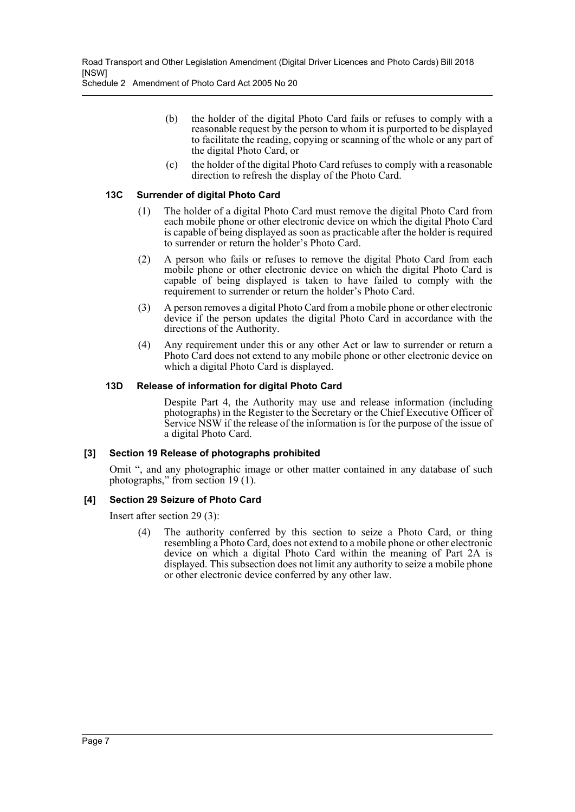Schedule 2 Amendment of Photo Card Act 2005 No 20

- (b) the holder of the digital Photo Card fails or refuses to comply with a reasonable request by the person to whom it is purported to be displayed to facilitate the reading, copying or scanning of the whole or any part of the digital Photo Card, or
- (c) the holder of the digital Photo Card refuses to comply with a reasonable direction to refresh the display of the Photo Card.

#### **13C Surrender of digital Photo Card**

- (1) The holder of a digital Photo Card must remove the digital Photo Card from each mobile phone or other electronic device on which the digital Photo Card is capable of being displayed as soon as practicable after the holder is required to surrender or return the holder's Photo Card.
- (2) A person who fails or refuses to remove the digital Photo Card from each mobile phone or other electronic device on which the digital Photo Card is capable of being displayed is taken to have failed to comply with the requirement to surrender or return the holder's Photo Card.
- (3) A person removes a digital Photo Card from a mobile phone or other electronic device if the person updates the digital Photo Card in accordance with the directions of the Authority.
- (4) Any requirement under this or any other Act or law to surrender or return a Photo Card does not extend to any mobile phone or other electronic device on which a digital Photo Card is displayed.

#### **13D Release of information for digital Photo Card**

Despite Part 4, the Authority may use and release information (including photographs) in the Register to the Secretary or the Chief Executive Officer of Service NSW if the release of the information is for the purpose of the issue of a digital Photo Card.

#### **[3] Section 19 Release of photographs prohibited**

Omit ", and any photographic image or other matter contained in any database of such photographs," from section 19 (1).

## **[4] Section 29 Seizure of Photo Card**

Insert after section 29 (3):

The authority conferred by this section to seize a Photo Card, or thing resembling a Photo Card, does not extend to a mobile phone or other electronic device on which a digital Photo Card within the meaning of Part 2A is displayed. This subsection does not limit any authority to seize a mobile phone or other electronic device conferred by any other law.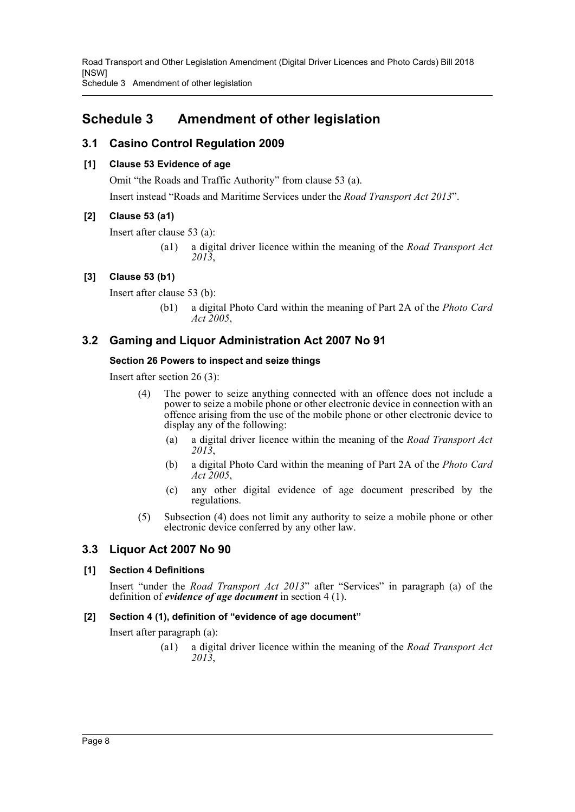Schedule 3 Amendment of other legislation

# <span id="page-8-0"></span>**Schedule 3 Amendment of other legislation**

# **3.1 Casino Control Regulation 2009**

# **[1] Clause 53 Evidence of age**

Omit "the Roads and Traffic Authority" from clause 53 (a). Insert instead "Roads and Maritime Services under the *Road Transport Act 2013*".

# **[2] Clause 53 (a1)**

Insert after clause 53 (a):

(a1) a digital driver licence within the meaning of the *Road Transport Act 2013*,

# **[3] Clause 53 (b1)**

Insert after clause 53 (b):

(b1) a digital Photo Card within the meaning of Part 2A of the *Photo Card Act 2005*,

# **3.2 Gaming and Liquor Administration Act 2007 No 91**

## **Section 26 Powers to inspect and seize things**

Insert after section 26 (3):

- (4) The power to seize anything connected with an offence does not include a power to seize a mobile phone or other electronic device in connection with an offence arising from the use of the mobile phone or other electronic device to display any of the following:
	- (a) a digital driver licence within the meaning of the *Road Transport Act 2013*,
	- (b) a digital Photo Card within the meaning of Part 2A of the *Photo Card Act 2005*,
	- (c) any other digital evidence of age document prescribed by the regulations.
- (5) Subsection (4) does not limit any authority to seize a mobile phone or other electronic device conferred by any other law.

# **3.3 Liquor Act 2007 No 90**

## **[1] Section 4 Definitions**

Insert "under the *Road Transport Act 2013*" after "Services" in paragraph (a) of the definition of *evidence of age document* in section 4 (1).

## **[2] Section 4 (1), definition of "evidence of age document"**

Insert after paragraph (a):

(a1) a digital driver licence within the meaning of the *Road Transport Act 2013*,